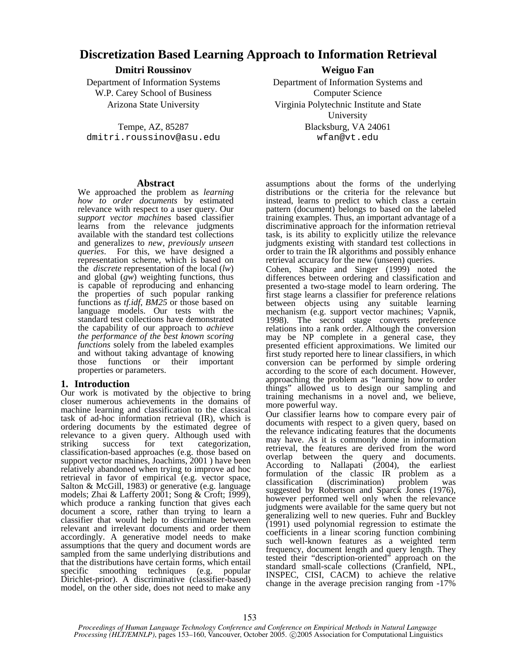# **Discretization Based Learning Approach to Information Retrieval**

# **Dmitri Roussinov Weiguo Fan**

Department of Information Systems W.P. Carey School of Business

dmitri.roussinov@asu.edu wfan@vt.edu

### **Abstract**

We approached the problem as *learning how to order documents* by estimated relevance with respect to a user query. Our *support vector machines* based classifier learns from the relevance judgments available with the standard test collections and generalizes to *new, previously unseen queries*. For this, we have designed a representation scheme, which is based on the *discrete* representation of the local (*lw*) and global (*gw*) weighting functions, thus is capable of reproducing and enhancing the properties of such popular ranking functions as *tf.idf*, *BM25* or those based on language models. Our tests with the standard test collections have demonstrated the capability of our approach to *achieve the performance of the best known scoring functions* solely from the labeled examples and without taking advantage of knowing<br>those functions or their important those functions or their properties or parameters.

# **1. Introduction**

Our work is motivated by the objective to bring closer numerous achievements in the domains of machine learning and classification to the classical task of ad-hoc information retrieval (IR), which is ordering documents by the estimated degree of relevance to a given query. Although used with striking success for text categorization. striking success for text categorization, classification-based approaches (e.g. those based on support vector machines, Joachims, 2001) have been relatively abandoned when trying to improve ad hoc retrieval in favor of empirical (e.g. vector space, Salton & McGill, 1983) or generative (e.g. language models; Zhai & Lafferty 2001; Song & Croft; 1999), which produce a ranking function that gives each document a score, rather than trying to learn a classifier that would help to discriminate between relevant and irrelevant documents and order them accordingly. A generative model needs to make assumptions that the query and document words are sampled from the same underlying distributions and that the distributions have certain forms, which entail specific smoothing techniques (e.g. popular Dirichlet-prior). A discriminative (classifier-based) model, on the other side, does not need to make any

Department of Information Systems and Computer Science Arizona State University Virginia Polytechnic Institute and State University Tempe, AZ, 85287 Blacksburg, VA 24061

> assumptions about the forms of the underlying distributions or the criteria for the relevance but instead, learns to predict to which class a certain pattern (document) belongs to based on the labeled training examples. Thus, an important advantage of a discriminative approach for the information retrieval task, is its ability to explicitly utilize the relevance judgments existing with standard test collections in order to train the IR algorithms and possibly enhance retrieval accuracy for the new (unseen) queries.

> Cohen, Shapire and Singer (1999) noted the differences between ordering and classification and presented a two-stage model to learn ordering. The first stage learns a classifier for preference relations between objects using any suitable learning mechanism (e.g. support vector machines; Vapnik, 1998). The second stage converts preference relations into a rank order. Although the conversion may be NP complete in a general case, they presented efficient approximations. We limited our first study reported here to linear classifiers, in which conversion can be performed by simple ordering according to the score of each document. However, approaching the problem as "learning how to order things" allowed us to design our sampling and training mechanisms in a novel and, we believe, more powerful way.

> Our classifier learns how to compare every pair of documents with respect to a given query, based on the relevance indicating features that the documents may have. As it is commonly done in information retrieval, the features are derived from the word overlap between the query and documents. According to Nallapati  $(2004)$ , the earliest formulation of the classic IR problem as a classification (discrimination) problem was suggested by Robertson and Sparck Jones (1976), however performed well only when the relevance judgments were available for the same query but not generalizing well to new queries. Fuhr and Buckley (1991) used polynomial regression to estimate the coefficients in a linear scoring function combining such well-known features as a weighted term frequency, document length and query length. They tested their "description-oriented" approach on the standard small-scale collections (Cranfield, NPL, INSPEC, CISI, CACM) to achieve the relative change in the average precision ranging from -17%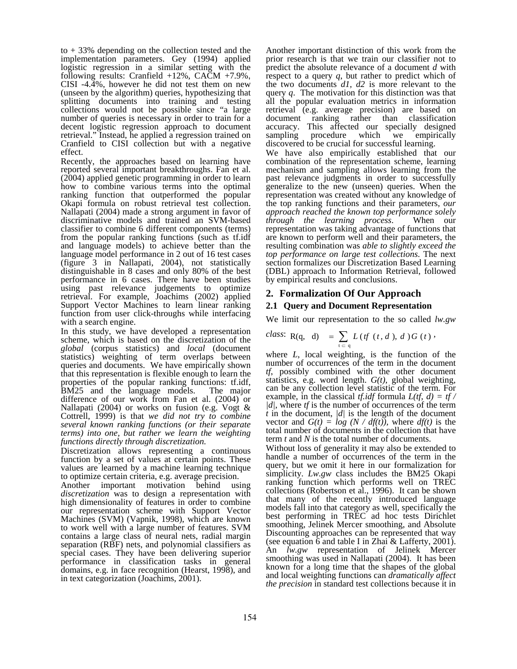to + 33% depending on the collection tested and the implementation parameters. Gey (1994) applied logistic regression in a similar setting with the following results: Cranfield  $+12\%$ , CACM  $+7.9\%$ ,  $CISI -4.\overline{4}\%$ , however he did not test them on new (unseen by the algorithm) queries, hypothesizing that splitting documents into training and testing collections would not be possible since "a large number of queries is necessary in order to train for a decent logistic regression approach to document retrieval." Instead, he applied a regression trained on Cranfield to CISI collection but with a negative effect.

Recently, the approaches based on learning have reported several important breakthroughs. Fan et al. (2004) applied genetic programming in order to learn how to combine various terms into the optimal ranking function that outperformed the popular Okapi formula on robust retrieval test collection. Nallapati (2004) made a strong argument in favor of discriminative models and trained an SVM-based classifier to combine 6 different components (terms) from the popular ranking functions (such as tf.idf and language models) to achieve better than the language model performance in 2 out of 16 test cases (figure 3 in Nallapati, 2004), not statistically distinguishable in 8 cases and only 80% of the best performance in 6 cases. There have been studies using past relevance judgements to optimize retrieval. For example, Joachims (2002) applied Support Vector Machines to learn linear ranking function from user click-throughs while interfacing with a search engine.

In this study, we have developed a representation scheme, which is based on the discretization of the *global* (corpus statistics) and *local* (document statistics) weighting of term overlaps between queries and documents. We have empirically shown that this representation is flexible enough to learn the properties of the popular ranking functions: tf.idf, BM25 and the language models. The major  $BM25$  and the language models. difference of our work from Fan et al. (2004) or Nallapati (2004) or works on fusion (e.g. Vogt & Cottrell, 1999) is that *we did not try to combine several known ranking functions (or their separate terms) into one, but rather we learn the weighting functions directly through discretization.*

Discretization allows representing a continuous function by a set of values at certain points. These values are learned by a machine learning technique to optimize certain criteria, e.g. average precision.

Another important motivation behind using *discretization* was to design a representation with high dimensionality of features in order to combine our representation scheme with Support Vector Machines (SVM) (Vapnik, 1998), which are known to work well with a large number of features. SVM contains a large class of neural nets, radial margin separation (RBF) nets, and polynomial classifiers as special cases. They have been delivering superior performance in classification tasks in general domains, e.g. in face recognition (Hearst, 1998), and in text categorization (Joachims, 2001).

Another important distinction of this work from the prior research is that we train our classifier not to predict the absolute relevance of a document *d* with respect to a query *q*, but rather to predict which of the two documents *d1, d2* is more relevant to the query *q*. The motivation for this distinction was that all the popular evaluation metrics in information retrieval (e.g. average precision) are based on document ranking rather than classification accuracy. This affected our specially designed sampling procedure which we empirically discovered to be crucial for successful learning.

We have also empirically established that our combination of the representation scheme, learning mechanism and sampling allows learning from the past relevance judgments in order to successfully generalize to the new (unseen) queries. When the representation was created without any knowledge of the top ranking functions and their parameters, *our approach reached the known top performance solely through the learning process*. When our representation was taking advantage of functions that are known to perform well and their parameters, the resulting combination was *able to slightly exceed the top performance on large test collections*. The next section formalizes our Discretization Based Learning (DBL) approach to Information Retrieval, followed by empirical results and conclusions.

### **2. Formalization Of Our Approach**

### **2.1 Query and Document Representation**

We limit our representation to the so called *lw.gw* 

*class*: R(q, d) = 
$$
\sum_{t \subset q} L(f(t, d), d)G(t)
$$
,

where *L*, local weighting, is the function of the number of occurrences of the term in the document *tf*, possibly combined with the other document statistics, e.g. word length. *G(t)*, global weighting, can be any collection level statistic of the term. For example, in the classical *tf.idf* formula  $L(tf, d) = tf/$ *|d|*, where *tf* is the number of occurrences of the term *t* in the document, *|d|* is the length of the document vector and  $G(t) = log (N / df(t))$ , where  $df(t)$  is the total number of documents in the collection that have term *t* and *N* is the total number of documents.

Without loss of generality it may also be extended to handle a number of occurrences of the term in the query, but we omit it here in our formalization for simplicity. *Lw.gw* class includes the BM25 Okapi ranking function which performs well on TREC collections (Robertson et al., 1996). It can be shown that many of the recently introduced language models fall into that category as well, specifically the best performing in TREC ad hoc tests Dirichlet smoothing, Jelinek Mercer smoothing, and Absolute Discounting approaches can be represented that way (see equation 6 and table I in Zhai & Lafferty, 2001). An *lw.gw* representation of Jelinek Mercer smoothing was used in Nallapati (2004). It has been known for a long time that the shapes of the global and local weighting functions can *dramatically affect the precision* in standard test collections because it in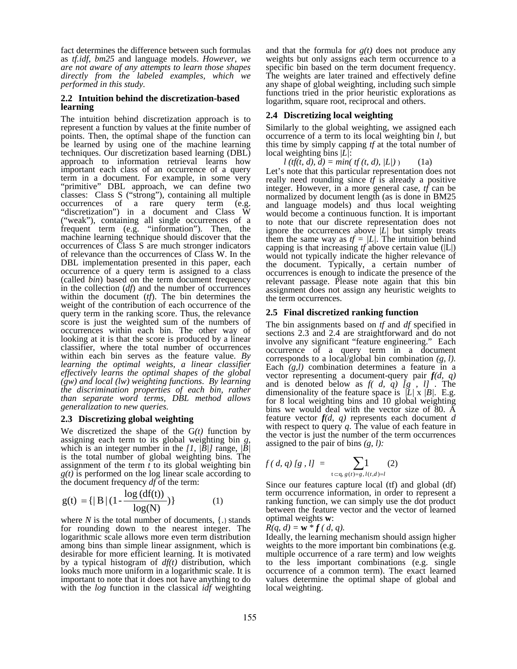fact determines the difference between such formulas as *tf.idf*, *bm25* and language models. *However, we are not aware of any attempts to learn those shapes directly from the labeled examples, which we performed in this study.*

### **2.2 Intuition behind the discretization-based learning**

The intuition behind discretization approach is to represent a function by values at the finite number of points. Then, the optimal shape of the function can be learned by using one of the machine learning techniques. Our discretization based learning (DBL) approach to information retrieval learns how important each class of an occurrence of a query term in a document. For example, in some very "primitive" DBL approach, we can define two classes: Class S ("strong"), containing all multiple occurrences of a rare query term (e.g. of a rare query term (e.g. "discretization") in a document and Class  $\tilde{W}$ ("weak"), containing all single occurrences of a frequent term (e.g. "information"). Then, the machine learning technique should discover that the occurrences of Class S are much stronger indicators of relevance than the occurrences of Class W. In the DBL implementation presented in this paper, each occurrence of a query term is assigned to a class (called *bin*) based on the term document frequency in the collection (*df*) and the number of occurrences within the document (*tf*). The bin determines the weight of the contribution of each occurrence of the query term in the ranking score. Thus, the relevance score is just the weighted sum of the numbers of occurrences within each bin. The other way of looking at it is that the score is produced by a linear classifier, where the total number of occurrences within each bin serves as the feature value. *By learning the optimal weights, a linear classifier effectively learns the optimal shapes of the global (gw) and local (lw) weighting functions*. *By learning the discrimination properties of each bin, rather than separate word terms, DBL method allows generalization to new queries.* 

### **2.3 Discretizing global weighting**

We discretized the shape of the  $G(t)$  function by assigning each term to its global weighting bin  $g$ , which is an integer number in the  $[I, \overline{B}$  range,  $\overline{B}$ is the total number of global weighting bins*.* The assignment of the term *t* to its global weighting bin *g(t)* is performed on the log linear scale according to the document frequency *df* of the term:

$$
g(t) = { |B| (1 - \frac{\log (df(t))}{\log(N)}) }
$$
 (1)

where  $N$  is the total number of documents,  $\{.\}$  stands for rounding down to the nearest integer. The logarithmic scale allows more even term distribution among bins than simple linear assignment, which is desirable for more efficient learning. It is motivated by a typical histogram of *df(t)* distribution, which looks much more uniform in a logarithmic scale. It is important to note that it does not have anything to do with the *log* function in the classical *idf* weighting and that the formula for  $g(t)$  does not produce any weights but only assigns each term occurrence to a specific bin based on the term document frequency. The weights are later trained and effectively define any shape of global weighting, including such simple functions tried in the prior heuristic explorations as logarithm, square root, reciprocal and others.

# **2.4 Discretizing local weighting**

Similarly to the global weighting, we assigned each occurrence of a term to its local weighting bin *l*, but this time by simply capping *tf* at the total number of local weighting bins |*L|*:

 $l (tf(t, d), d) = min(f(t, d), |L|)$  (1a)

Let's note that this particular representation does not really need rounding since *tf* is already a positive integer. However, in a more general case, *tf* can be normalized by document length (as is done in BM25 and language models) and thus local weighting would become a continuous function. It is important to note that our discrete representation does not ignore the occurrences above |*L|* but simply treats them the same way as  $tf = |L|$ . The intuition behind capping is that increasing *tf* above certain value (|L|) would not typically indicate the higher relevance of the document. Typically, a certain number of occurrences is enough to indicate the presence of the relevant passage. Please note again that this bin assignment does not assign any heuristic weights to the term occurrences.

### **2.5 Final discretized ranking function**

The bin assignments based on *tf* and *df* specified in sections 2.3 and 2.4 are straightforward and do not involve any significant "feature engineering." Each occurrence of a query term in a document corresponds to a local/global bin combination *(g, l)*. Each *(g,l)* combination determines a feature in a vector representing a document-query pair *f(d, q)* and is denoted below as  $f(d, q)$   $[g, l]$ . The dimensionality of the feature space is |*L|* x *|B|*. E.g. for 8 local weighting bins and 10 global weighting bins we would deal with the vector size of 80. A feature vector *f(d, q)* represents each document *d* with respect to query *q*. The value of each feature in the vector is just the number of the term occurrences assigned to the pair of bins *(g, l):*

$$
f(d, q) [g, l] = \sum_{t \subset q, g(t) = g, l(t, d) = l} (2)
$$

Since our features capture local (tf) and global (df) term occurrence information, in order to represent a ranking function, we can simply use the dot product between the feature vector and the vector of learned optimal weights **w**:

 $R(q, d) = \mathbf{w} * f(d, q).$ 

Ideally, the learning mechanism should assign higher weights to the more important bin combinations (e.g. multiple occurrence of a rare term) and low weights to the less important combinations (e.g. single occurrence of a common term). The exact learned values determine the optimal shape of global and local weighting.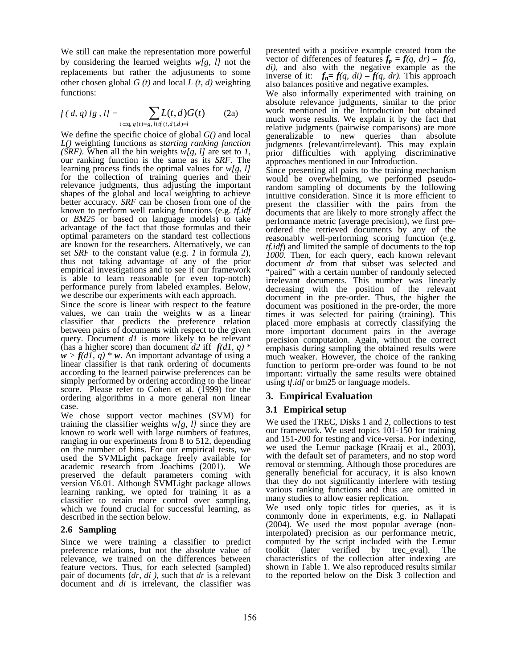We still can make the representation more powerful by considering the learned weights *w[g, l]* not the replacements but rather the adjustments to some other chosen global *G (t)* and local *L (t, d)* weighting functions:

$$
f(d, q) [g, l] = \sum_{t \subset q, g(t) = g, l (tf (t, d), d) = l} L(t, d) G(t)
$$
 (2a)

We define the specific choice of global *G()* and local *L()* weighting functions as *starting ranking function (SRF)*. When all the bin weights  $w/g$ , *l]* are set to *1*, our ranking function is the same as its *SRF*. The learning process finds the optimal values for  $w/g$ , *l]* for the collection of training queries and their relevance judgments, thus adjusting the important shapes of the global and local weighting to achieve better accuracy. *SRF* can be chosen from one of the known to perform well ranking functions (e.g. *tf.idf* or *BM25* or based on language models) to take advantage of the fact that those formulas and their optimal parameters on the standard test collections are known for the researchers. Alternatively, we can set *SRF* to the constant value (e.g. *1* in formula 2), thus not taking advantage of any of the prior empirical investigations and to see if our framework is able to learn reasonable (or even top-notch) performance purely from labeled examples. Below, we describe our experiments with each approach.

Since the score is linear with respect to the feature values, we can train the weights **w** as a linear classifier that predicts the preference relation between pairs of documents with respect to the given query. Document *d1* is more likely to be relevant (has a higher score) than document  $d2$  iff  $f(d1, q)$  \*  $w > f(dI, q) * w$ . An important advantage of using a linear classifier is that rank ordering of documents according to the learned pairwise preferences can be simply performed by ordering according to the linear score. Please refer to Cohen et al. (1999) for the ordering algorithms in a more general non linear case.

We chose support vector machines (SVM) for training the classifier weights *w[g, l]* since they are known to work well with large numbers of features, ranging in our experiments from 8 to 512, depending on the number of bins. For our empirical tests, we used the SVMLight package freely available for academic research from Joachims (2001). We academic research from Joachims (2001). preserved the default parameters coming with version V6.01. Although SVMLight package allows learning ranking, we opted for training it as a classifier to retain more control over sampling, which we found crucial for successful learning, as described in the section below.

# **2.6 Sampling**

Since we were training a classifier to predict preference relations, but not the absolute value of relevance, we trained on the differences between feature vectors. Thus, for each selected (sampled) pair of documents (*dr, di ),* such that *dr* is a relevant document and *di* is irrelevant, the classifier was

presented with a positive example created from the vector of differences of features  $f_p = f(q, dr) - f(q, dr)$ *di),* and also with the negative example as the inverse of it:  $f_n = f(q, di) - f(q, dr)$ . This approach also balances positive and negative examples.

We also informally experimented with training on absolute relevance judgments, similar to the prior work mentioned in the Introduction but obtained much worse results. We explain it by the fact that relative judgments (pairwise comparisons) are more generalizable to new queries than absolute judgments (relevant/irrelevant). This may explain prior difficulties with applying discriminative approaches mentioned in our Introduction.

Since presenting all pairs to the training mechanism would be overwhelming, we performed pseudorandom sampling of documents by the following intuitive consideration. Since it is more efficient to present the classifier with the pairs from the documents that are likely to more strongly affect the performance metric (average precision), we first preordered the retrieved documents by any of the reasonably well-performing scoring function (e.g. *tf.idf*) and limited the sample of documents to the top *1000*. Then, for each query, each known relevant document *dr* from that subset was selected and "paired" with a certain number of randomly selected irrelevant documents. This number was linearly decreasing with the position of the relevant document in the pre-order. Thus, the higher the document was positioned in the pre-order, the more times it was selected for pairing (training). This placed more emphasis at correctly classifying the more important document pairs in the average precision computation. Again, without the correct emphasis during sampling the obtained results were much weaker. However, the choice of the ranking function to perform pre-order was found to be not important: virtually the same results were obtained using *tf.idf* or bm25 or language models.

# **3. Empirical Evaluation**

# **3.1 Empirical setup**

We used the TREC, Disks 1 and 2, collections to test our framework. We used topics 101-150 for training and 151-200 for testing and vice-versa. For indexing, we used the Lemur package (Kraaij et al., 2003), with the default set of parameters, and no stop word removal or stemming. Although those procedures are generally beneficial for accuracy, it is also known that they do not significantly interfere with testing various ranking functions and thus are omitted in many studies to allow easier replication.

We used only topic titles for queries, as it is commonly done in experiments, e.g. in Nallapati (2004). We used the most popular average (noninterpolated) precision as our performance metric, computed by the script included with the Lemur toolkit (later verified by trec\_eval). The characteristics of the collection after indexing are shown in Table 1. We also reproduced results similar to the reported below on the Disk 3 collection and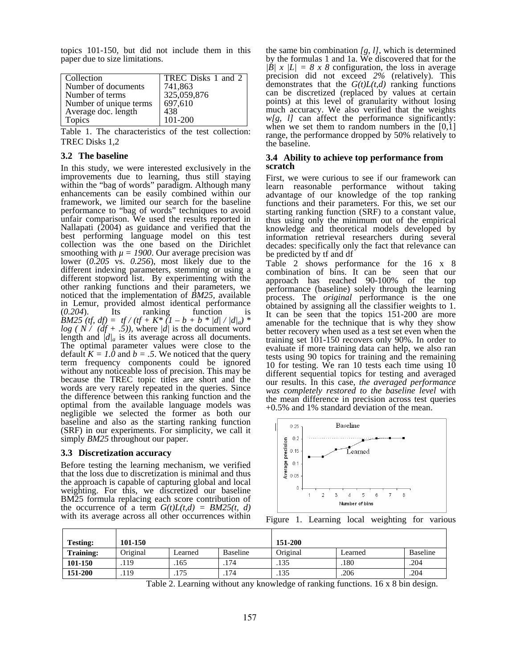topics 101-150, but did not include them in this paper due to size limitations.

| <b>Collection</b>      | TREC Disks 1 and 2 |
|------------------------|--------------------|
| Number of documents    | 741,863            |
| Number of terms        | 325,059,876        |
| Number of unique terms | 697,610            |
| Average doc. length    | 438                |
| Topics                 | 101-200            |

Table 1. The characteristics of the test collection: TREC Disks 1,2

### **3.2 The baseline**

In this study, we were interested exclusively in the improvements due to learning, thus still staying within the "bag of words" paradigm. Although many enhancements can be easily combined within our framework, we limited our search for the baseline performance to "bag of words" techniques to avoid unfair comparison. We used the results reported in Nallapati (2004) as guidance and verified that the best performing language model on this test collection was the one based on the Dirichlet smoothing with  $\mu = 1900$ . Our average precision was lower (*0.205* vs. *0.256*), most likely due to the different indexing parameters, stemming or using a different stopword list. By experimenting with the other ranking functions and their parameters, we noticed that the implementation of *BM25,* available in Lemur, provided almost identical performance  $(0.204)$ . Its ranking function is (*0.204*). Its ranking function is *BM25 (tf, df)* =  $tf/(tf + K^* \tilde{l} - b + b * |d| / |d|_a)$  \*  $log (N / (df + .5))$ , where  $/d$  is the document word length and  $\frac{d}{a}$  is its average across all documents. The optimal parameter values were close to the default  $K = 1.0$  and  $b = .5$ . We noticed that the query term frequency components could be ignored without any noticeable loss of precision. This may be because the TREC topic titles are short and the words are very rarely repeated in the queries. Since the difference between this ranking function and the optimal from the available language models was negligible we selected the former as both our baseline and also as the starting ranking function (SRF) in our experiments. For simplicity, we call it simply *BM25* throughout our paper.

### **3.3 Discretization accuracy**

Before testing the learning mechanism, we verified that the loss due to discretization is minimal and thus the approach is capable of capturing global and local weighting. For this, we discretized our baseline BM25 formula replacing each score contribution of the occurrence of a term  $G(t)L(t,d) = BM25(t, d)$ with its average across all other occurrences within

the same bin combination *[g, l],* which is determined by the formulas 1 and 1a. We discovered that for the  $|\dot{B}| \times |L| = 8 \times 8$  configuration, the loss in average precision did not exceed *2%* (relatively). This demonstrates that the  $G(t)L(t,d)$  ranking functions can be discretized (replaced by values at certain points) at this level of granularity without losing much accuracy. We also verified that the weights *w[g, l]* can affect the performance significantly: when we set them to random numbers in the [0,1] range, the performance dropped by 50% relatively to the baseline.

#### **3.4 Ability to achieve top performance from scratch**

First, we were curious to see if our framework can learn reasonable performance without taking advantage of our knowledge of the top ranking functions and their parameters. For this, we set our starting ranking function (SRF) to a constant value, thus using only the minimum out of the empirical knowledge and theoretical models developed by information retrieval researchers during several decades: specifically only the fact that relevance can be predicted by tf and df

Table 2 shows performance for the 16 x 8 combination of bins. It can be seen that our approach has reached 90-100% of the top performance (baseline) solely through the learning process. The *original* performance is the one obtained by assigning all the classifier weights to 1. It can be seen that the topics 151-200 are more amenable for the technique that is why they show better recovery when used as a test set even when the training set 101-150 recovers only 90%. In order to evaluate if more training data can help, we also ran tests using 90 topics for training and the remaining 10 for testing. We ran 10 tests each time using 10 different sequential topics for testing and averaged our results. In this case, *the averaged performance was completely restored to the baseline level* with the mean difference in precision across test queries +0.5% and 1% standard deviation of the mean.



Figure 1. Learning local weighting for various

| <b>Testing:</b>  | 101-150  |         |          | 151-200  |         |                 |
|------------------|----------|---------|----------|----------|---------|-----------------|
| <b>Training:</b> | Original | Learned | Baseline | Original | Learned | <b>Baseline</b> |
| 101-150          | .119     | .165    | .174     | .135     | .180    | .204            |
| 151-200          | .119     | .175    | .174     | .135     | .206    | .204            |

Table 2. Learning without any knowledge of ranking functions. 16 x 8 bin design.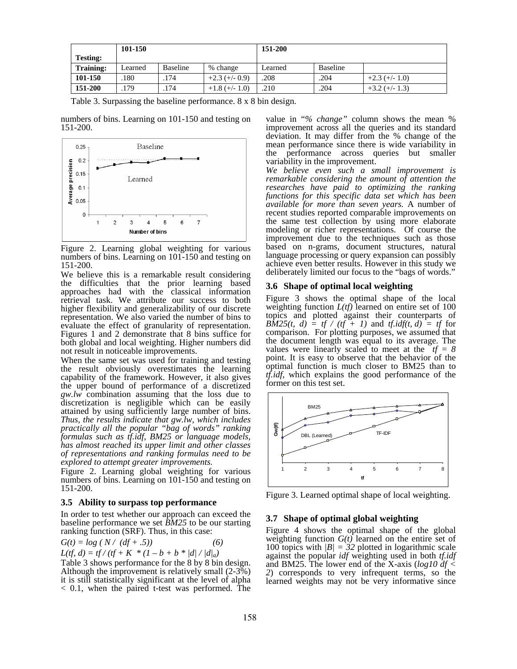|                  | 101-150 |          |                  | 151-200 |          |                  |
|------------------|---------|----------|------------------|---------|----------|------------------|
| <b>Testing:</b>  |         |          |                  |         |          |                  |
| <b>Training:</b> | Learned | Baseline | % change         | Learned | Baseline |                  |
| 101-150          | 180     | .174     | $+2.3$ (+/- 0.9) | .208    | .204     | $+2.3$ (+/- 1.0) |
| 151-200          | 179     | .174     | $+1.8$ (+/- 1.0) | .210    | .204     | $+3.2$ (+/- 1.3) |

Table 3. Surpassing the baseline performance. 8 x 8 bin design.

numbers of bins. Learning on 101-150 and testing on 151-200.



Figure 2. Learning global weighting for various numbers of bins. Learning on 101-150 and testing on 151-200.

We believe this is a remarkable result considering the difficulties that the prior learning based approaches had with the classical information retrieval task. We attribute our success to both higher flexibility and generalizability of our discrete representation. We also varied the number of bins to evaluate the effect of granularity of representation. Figures 1 and 2 demonstrate that 8 bins suffice for both global and local weighting. Higher numbers did not result in noticeable improvements.

When the same set was used for training and testing the result obviously overestimates the learning capability of the framework. However, it also gives the upper bound of performance of a discretized *gw.lw* combination assuming that the loss due to discretization is negligible which can be easily attained by using sufficiently large number of bins. *Thus, the results indicate that gw.lw, which includes practically all the popular "bag of words" ranking formulas such as tf.idf, BM25 or language models, has almost reached its upper limit and other classes of representations and ranking formulas need to be explored to attempt greater improvements.* 

Figure 2. Learning global weighting for various numbers of bins. Learning on 101-150 and testing on 151-200.

#### **3.5 Ability to surpass top performance**

In order to test whether our approach can exceed the baseline performance we set *BM25* to be our starting ranking function (SRF). Thus, in this case:

$$
G(t) = \log (N / (df + .5))
$$
 (6)

 $L(tf, d) = tf/(tf + K * (1 - b + b * |d| / |d|_a)$ 

Table 3 shows performance for the 8 by 8 bin design. Although the improvement is relatively small  $(2-3\%)$ it is still statistically significant at the level of alpha < 0.1, when the paired t-test was performed. The

value in "*% change"* column shows the mean % improvement across all the queries and its standard deviation. It may differ from the % change of the mean performance since there is wide variability in the performance across queries but smaller variability in the improvement.

*We believe even such a small improvement is remarkable considering the amount of attention the researches have paid to optimizing the ranking functions for this specific data set which has been available for more than seven years.* A number of recent studies reported comparable improvements on the same test collection by using more elaborate modeling or richer representations. Of course the improvement due to the techniques such as those based on n-grams, document structures, natural language processing or query expansion can possibly achieve even better results. However in this study we deliberately limited our focus to the "bags of words."

#### **3.6 Shape of optimal local weighting**

Figure 3 shows the optimal shape of the local weighting function *L(tf)* learned on entire set of 100 topics and plotted against their counterparts of *BM25(t, d)* = *tf / (tf + 1)* and *tf.idf(t, d)* = *tf* for comparison. For plotting purposes, we assumed that the document length was equal to its average. The values were linearly scaled to meet at the *tf = 8* point. It is easy to observe that the behavior of the optimal function is much closer to BM25 than to *tf.idf*, which explains the good performance of the former on this test set.



Figure 3. Learned optimal shape of local weighting.

### **3.7 Shape of optimal global weighting**

Figure 4 shows the optimal shape of the global weighting function  $G(t)$  learned on the entire set of 100 topics with  $|B| = 32$  plotted in logarithmic scale against the popular *idf* weighting used in both *tf.idf* and BM25. The lower end of the X-axis (*log10 df < 2*) corresponds to very infrequent terms, so the learned weights may not be very informative since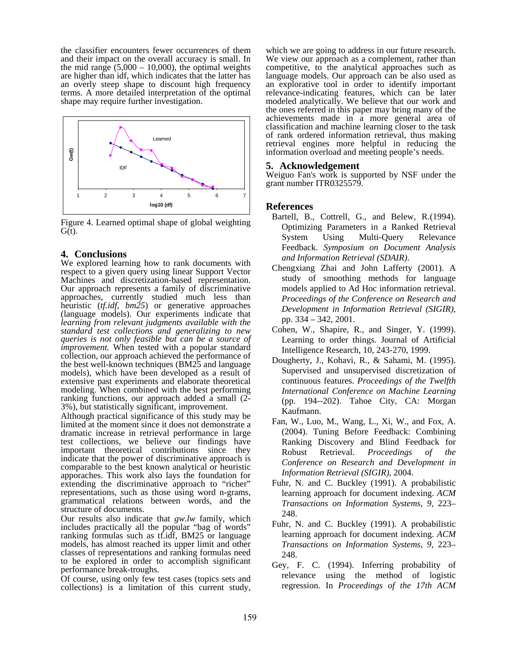the classifier encounters fewer occurrences of them and their impact on the overall accuracy is small. In the mid range  $(5,000 - 10,000)$ , the optimal weights are higher than idf, which indicates that the latter has an overly steep shape to discount high frequency terms. A more detailed interpretation of the optimal shape may require further investigation.



Figure 4. Learned optimal shape of global weighting  $G(t)$ .

### **4. Conclusions**

We explored learning how to rank documents with respect to a given query using linear Support Vector Machines and discretization-based representation. Our approach represents a family of discriminative approaches, currently studied much less than heuristic (*tf.idf*, *bm25*) or generative approaches (language models). Our experiments indicate that *learning from relevant judgments available with the standard test collections and generalizing to new queries is not only feasible but can be a source of improvement.* When tested with a popular standard collection, our approach achieved the performance of the best well-known techniques (BM25 and language models), which have been developed as a result of extensive past experiments and elaborate theoretical modeling. When combined with the best performing ranking functions, our approach added a small (2- 3%), but statistically significant, improvement.

Although practical significance of this study may be limited at the moment since it does not demonstrate a dramatic increase in retrieval performance in large test collections, we believe our findings have important theoretical contributions since they indicate that the power of discriminative approach is comparable to the best known analytical or heuristic apporaches. This work also lays the foundation for extending the discriminative approach to "richer" representations, such as those using word n-grams, grammatical relations between words, and the structure of documents.

Our results also indicate that *gw.lw* family, which includes practically all the popular "bag of words" ranking formulas such as tf.idf, BM25 or language models, has almost reached its upper limit and other classes of representations and ranking formulas need to be explored in order to accomplish significant performance break-troughs.

Of course, using only few test cases (topics sets and collections) is a limitation of this current study,

which we are going to address in our future research. We view our approach as a complement, rather than competitive, to the analytical approaches such as language models. Our approach can be also used as an explorative tool in order to identify important relevance-indicating features, which can be later modeled analytically. We believe that our work and the ones referred in this paper may bring many of the achievements made in a more general area of classification and machine learning closer to the task of rank ordered information retrieval, thus making retrieval engines more helpful in reducing the information overload and meeting people's needs.

#### **5. Acknowledgement**

Weiguo Fan's work is supported by NSF under the grant number ITR0325579.

### **References**

- Bartell, B., Cottrell, G., and Belew, R.(1994). Optimizing Parameters in a Ranked Retrieval System Using Multi-Query Relevance Feedback. *Symposium on Document Analysis and Information Retrieval (SDAIR)*.
- Chengxiang Zhai and John Lafferty (2001). A study of smoothing methods for language models applied to Ad Hoc information retrieval. *Proceedings of the Conference on Research and Development in Information Retrieval (SIGIR)*, pp. 334 – 342, 2001.
- Cohen, W., Shapire, R., and Singer, Y. (1999). Learning to order things. Journal of Artificial Intelligence Research, 10, 243-270, 1999.
- Dougherty, J., Kohavi, R., & Sahami, M. (1995). Supervised and unsupervised discretization of continuous features. *Proceedings of the Twelfth International Conference on Machine Learning* (pp. 194--202). Tahoe City, CA: Morgan Kaufmann.
- Fan, W., Luo, M., Wang, L., Xi, W., and Fox, A. (2004). Tuning Before Feedback: Combining Ranking Discovery and Blind Feedback for Robust Retrieval. *Proceedings of the Conference on Research and Development in Information Retrieval (SIGIR)*, 2004.
- Fuhr, N. and C. Buckley (1991). A probabilistic learning approach for document indexing. *ACM Transactions on Information Systems, 9*, 223– 248.
- Fuhr, N. and C. Buckley (1991). A probabilistic learning approach for document indexing. *ACM Transactions on Information Systems, 9*, 223– 248.
- Gey, F. C. (1994). Inferring probability of relevance using the method of logistic regression. In *Proceedings of the 17th ACM*